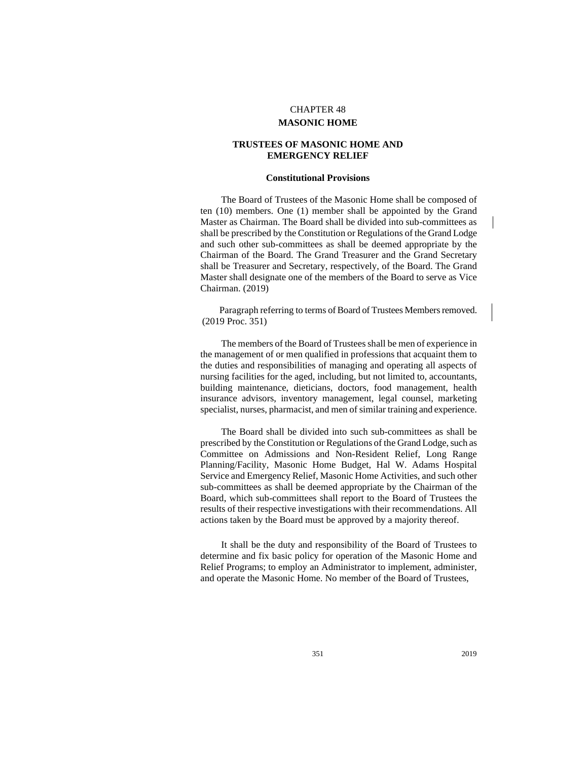# CHAPTER 48 **MASONIC HOME**

# **TRUSTEES OF MASONIC HOME AND EMERGENCY RELIEF**

#### **Constitutional Provisions**

The Board of Trustees of the Masonic Home shall be composed of ten (10) members. One (1) member shall be appointed by the Grand Master as Chairman. The Board shall be divided into sub-committees as shall be prescribed by the Constitution or Regulations of the Grand Lodge and such other sub-committees as shall be deemed appropriate by the Chairman of the Board. The Grand Treasurer and the Grand Secretary shall be Treasurer and Secretary, respectively, of the Board. The Grand Master shall designate one of the members of the Board to serve as Vice Chairman. (2019)

Paragraph referring to terms of Board of Trustees Members removed. (2019 Proc. 351)

The members of the Board of Trustees shall be men of experience in the management of or men qualified in professions that acquaint them to the duties and responsibilities of managing and operating all aspects of nursing facilities for the aged, including, but not limited to, accountants, building maintenance, dieticians, doctors, food management, health insurance advisors, inventory management, legal counsel, marketing specialist, nurses, pharmacist, and men of similar training and experience.

The Board shall be divided into such sub-committees as shall be prescribed by the Constitution or Regulations of the Grand Lodge, such as Committee on Admissions and Non-Resident Relief, Long Range Planning/Facility, Masonic Home Budget, Hal W. Adams Hospital Service and Emergency Relief, Masonic Home Activities, and such other sub-committees as shall be deemed appropriate by the Chairman of the Board, which sub-committees shall report to the Board of Trustees the results of their respective investigations with their recommendations. All actions taken by the Board must be approved by a majority thereof.

It shall be the duty and responsibility of the Board of Trustees to determine and fix basic policy for operation of the Masonic Home and Relief Programs; to employ an Administrator to implement, administer, and operate the Masonic Home. No member of the Board of Trustees,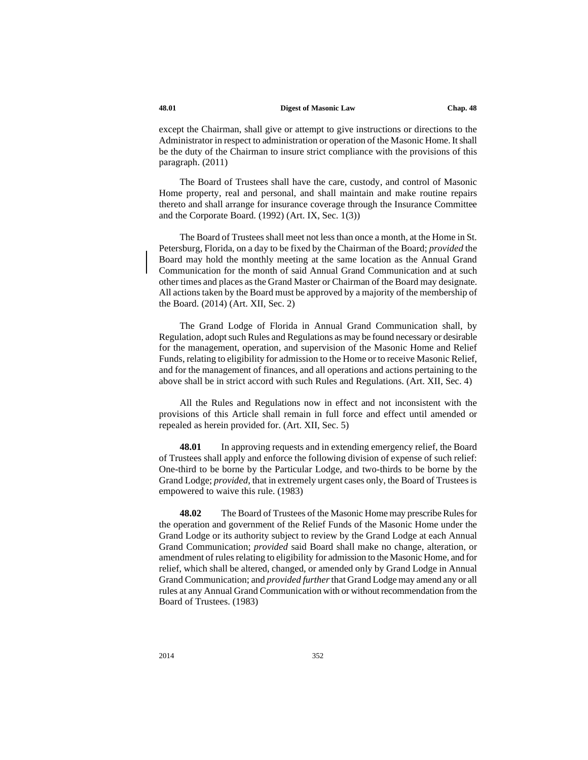except the Chairman, shall give or attempt to give instructions or directions to the Administrator in respect to administration or operation of the Masonic Home. It shall be the duty of the Chairman to insure strict compliance with the provisions of this paragraph. (2011)

The Board of Trustees shall have the care, custody, and control of Masonic Home property, real and personal, and shall maintain and make routine repairs thereto and shall arrange for insurance coverage through the Insurance Committee and the Corporate Board. (1992) (Art. IX, Sec. 1(3))

The Board of Trustees shall meet not less than once a month, at the Home in St. Petersburg, Florida, on a day to be fixed by the Chairman of the Board; *provided* the Board may hold the monthly meeting at the same location as the Annual Grand Communication for the month of said Annual Grand Communication and at such other times and places as the Grand Master or Chairman of the Board may designate. All actions taken by the Board must be approved by a majority of the membership of the Board. (2014) (Art. XII, Sec. 2)

The Grand Lodge of Florida in Annual Grand Communication shall, by Regulation, adopt such Rules and Regulations as may be found necessary or desirable for the management, operation, and supervision of the Masonic Home and Relief Funds, relating to eligibility for admission to the Home or to receive Masonic Relief, and for the management of finances, and all operations and actions pertaining to the above shall be in strict accord with such Rules and Regulations. (Art. XII, Sec. 4)

All the Rules and Regulations now in effect and not inconsistent with the provisions of this Article shall remain in full force and effect until amended or repealed as herein provided for. (Art. XII, Sec. 5)

**48.01** In approving requests and in extending emergency relief, the Board of Trustees shall apply and enforce the following division of expense of such relief: One-third to be borne by the Particular Lodge, and two-thirds to be borne by the Grand Lodge; *provided*, that in extremely urgent cases only, the Board of Trustees is empowered to waive this rule. (1983)

**48.02** The Board of Trustees of the Masonic Home may prescribe Rules for the operation and government of the Relief Funds of the Masonic Home under the Grand Lodge or its authority subject to review by the Grand Lodge at each Annual Grand Communication; *provided* said Board shall make no change, alteration, or amendment of rules relating to eligibility for admission to the Masonic Home, and for relief, which shall be altered, changed, or amended only by Grand Lodge in Annual Grand Communication; and *provided further*that Grand Lodge may amend any or all rules at any Annual Grand Communication with or without recommendation from the Board of Trustees. (1983)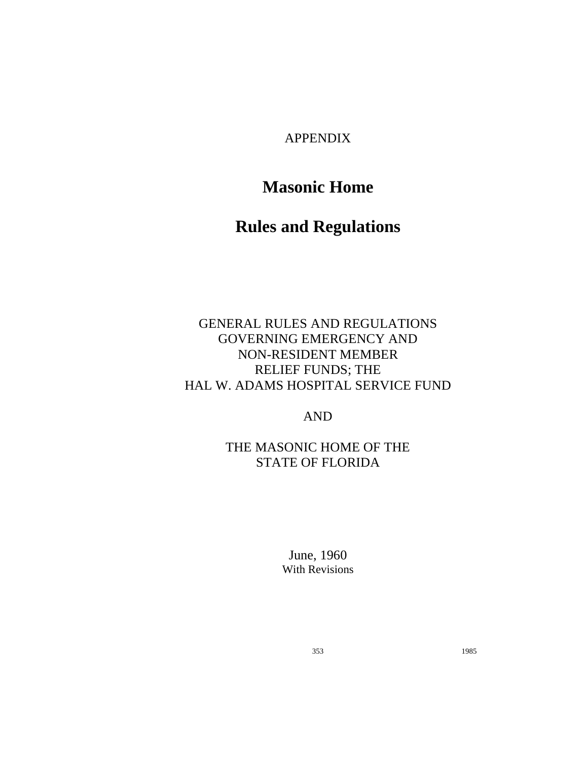APPENDIX

# **Masonic Home**

# **Rules and Regulations**

# GENERAL RULES AND REGULATIONS GOVERNING EMERGENCY AND NON-RESIDENT MEMBER RELIEF FUNDS; THE HAL W. ADAMS HOSPITAL SERVICE FUND

AND

# THE MASONIC HOME OF THE STATE OF FLORIDA

June, 1960 With Revisions

353 1985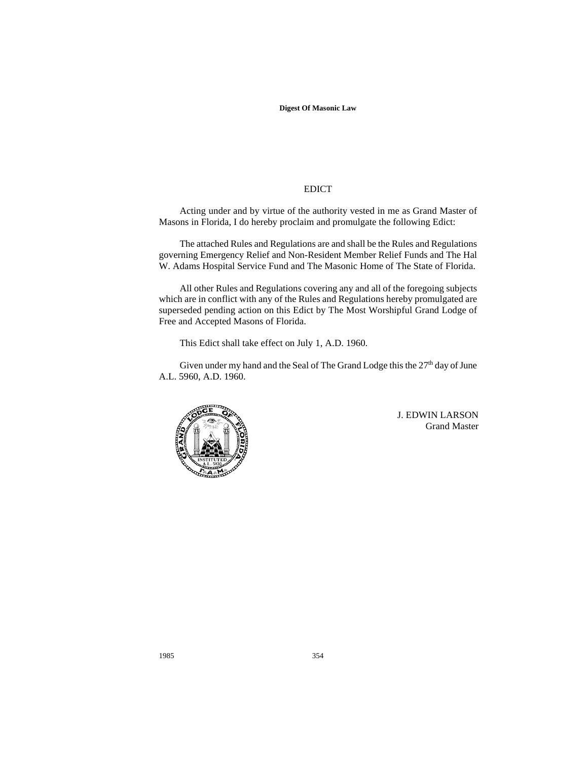#### **Digest Of Masonic Law**

# EDICT

Acting under and by virtue of the authority vested in me as Grand Master of Masons in Florida, I do hereby proclaim and promulgate the following Edict:

The attached Rules and Regulations are and shall be the Rules and Regulations governing Emergency Relief and Non-Resident Member Relief Funds and The Hal W. Adams Hospital Service Fund and The Masonic Home of The State of Florida.

All other Rules and Regulations covering any and all of the foregoing subjects which are in conflict with any of the Rules and Regulations hereby promulgated are superseded pending action on this Edict by The Most Worshipful Grand Lodge of Free and Accepted Masons of Florida.

This Edict shall take effect on July 1, A.D. 1960.

Given under my hand and the Seal of The Grand Lodge this the 27<sup>th</sup> day of June A.L. 5960, A.D. 1960.



J. EDWIN LARSON Grand Master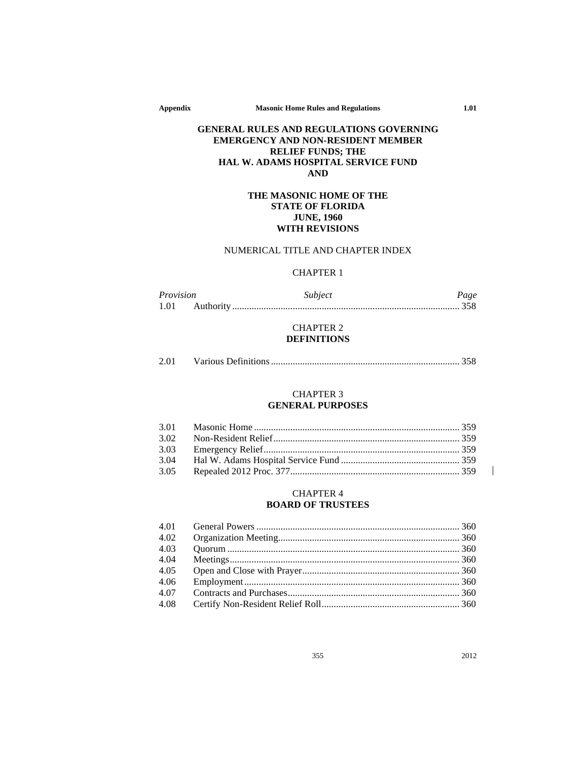# **GENERAL RULES AND REGULATIONS GOVERNING EMERGENCY AND NON-RESIDENT MEMBER RELIEF FUNDS; THE HAL W. ADAMS HOSPITAL SERVICE FUND AND**

# **THE MASONIC HOME OF THE STATE OF FLORIDA JUNE, 1960 WITH REVISIONS**

# NUMERICAL TITLE AND CHAPTER INDEX

# CHAPTER 1

| Provision |           | Subject | Page |
|-----------|-----------|---------|------|
| 1.01      | Authority |         |      |

# CHAPTER 2 **DEFINITIONS**

| 2.01 |  |  |  |
|------|--|--|--|
|------|--|--|--|

# CHAPTER 3 **GENERAL PURPOSES**

## CHAPTER 4 **BOARD OF TRUSTEES**

| 4.01 |  |
|------|--|
| 4.02 |  |
| 4.03 |  |
| 4.04 |  |
| 4.05 |  |
| 4.06 |  |
| 4.07 |  |
| 4.08 |  |

 $\overline{\phantom{a}}$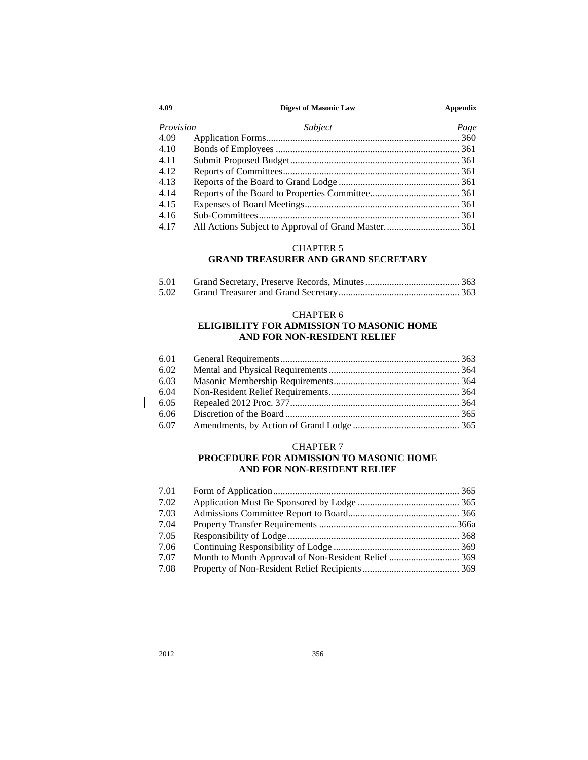| 4.09      | <b>Digest of Masonic Law</b> | Appendix |
|-----------|------------------------------|----------|
| Provision | Subject                      | Page     |
| 4.09      |                              |          |
| 4.10      |                              |          |
| 4.11      |                              |          |
| 4.12      |                              |          |
| 4.13      |                              |          |
| 4.14      |                              |          |
| 4.15      |                              |          |
| 4.16      |                              |          |
| 4.17      |                              |          |

## CHAPTER 5 **GRAND TREASURER AND GRAND SECRETARY**

# 5.01 Grand Secretary, Preserve Records, Minutes....................................... 363 5.02 Grand Treasurer and Grand Secretary.................................................. 363

## CHAPTER 6

# **ELIGIBILITY FOR ADMISSION TO MASONIC HOME AND FOR NON-RESIDENT RELIEF**

| 6.01 |  |
|------|--|
| 6.02 |  |
| 6.03 |  |
| 6.04 |  |
| 6.05 |  |
| 6.06 |  |
| 6.07 |  |

# CHAPTER 7

# **PROCEDURE FOR ADMISSION TO MASONIC HOME AND FOR NON-RESIDENT RELIEF**

| 7.01 |                                                     |  |
|------|-----------------------------------------------------|--|
| 7.02 |                                                     |  |
| 7.03 |                                                     |  |
| 7.04 |                                                     |  |
| 7.05 |                                                     |  |
| 7.06 |                                                     |  |
| 7.07 | Month to Month Approval of Non-Resident Relief  369 |  |
| 7.08 |                                                     |  |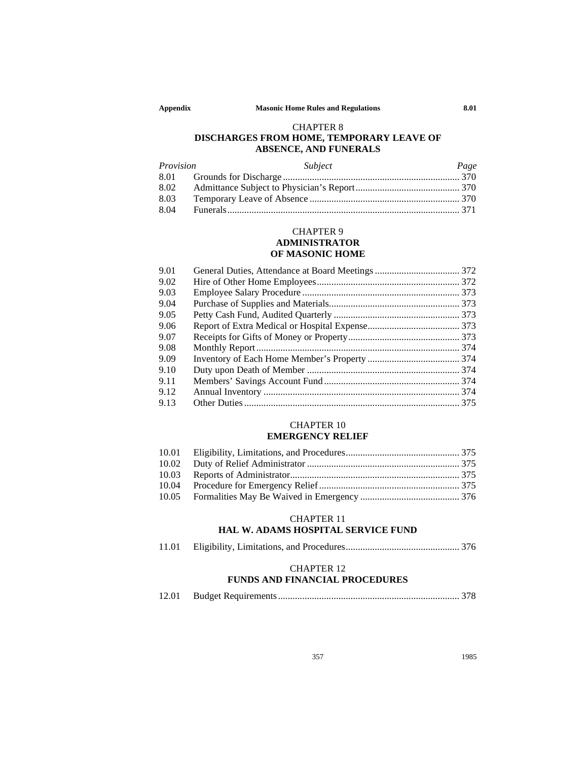# CHAPTER 8 **DISCHARGES FROM HOME, TEMPORARY LEAVE OF ABSENCE, AND FUNERALS**

| Provision | Subject | Page |
|-----------|---------|------|
| -8.01     |         |      |
| 8.02      |         |      |
| 8.03      |         |      |
| 8.04      |         |      |

# CHAPTER 9 **ADMINISTRATOR OF MASONIC HOME**

| 9.01 |  |
|------|--|
| 9.02 |  |
| 9.03 |  |
| 9.04 |  |
| 9.05 |  |
| 9.06 |  |
| 9.07 |  |
| 9.08 |  |
| 9.09 |  |
| 9.10 |  |
| 9.11 |  |
| 9.12 |  |
| 9.13 |  |

# CHAPTER 10 **EMERGENCY RELIEF**

# CHAPTER 11

# **HAL W. ADAMS HOSPITAL SERVICE FUND**

| 11.01 |  |  |  |  |
|-------|--|--|--|--|
|-------|--|--|--|--|

# CHAPTER 12

# **FUNDS AND FINANCIAL PROCEDURES**

| 12.01 |  |  |
|-------|--|--|
|       |  |  |

357 1985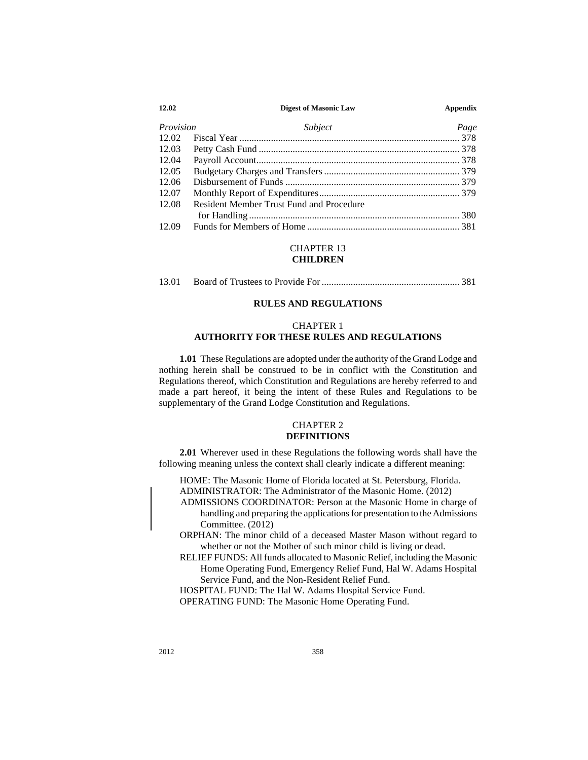| 12.02     | <b>Digest of Masonic Law</b>                    | Appendix |
|-----------|-------------------------------------------------|----------|
| Provision | Subject                                         | Page     |
| 12.02     |                                                 |          |
| 12.03     |                                                 |          |
| 12.04     |                                                 |          |
| 12.05     |                                                 |          |
| 12.06     |                                                 |          |
| 12.07     |                                                 |          |
| 12.08     | <b>Resident Member Trust Fund and Procedure</b> |          |
|           |                                                 |          |
| 12.09     |                                                 |          |

## CHAPTER 13 **CHILDREN**

| 13.01 |  |  |
|-------|--|--|
|-------|--|--|

# **RULES AND REGULATIONS**

# CHAPTER 1 **AUTHORITY FOR THESE RULES AND REGULATIONS**

**1.01** These Regulations are adopted under the authority of the Grand Lodge and nothing herein shall be construed to be in conflict with the Constitution and Regulations thereof, which Constitution and Regulations are hereby referred to and made a part hereof, it being the intent of these Rules and Regulations to be supplementary of the Grand Lodge Constitution and Regulations.

### CHAPTER 2 **DEFINITIONS**

**2.01** Wherever used in these Regulations the following words shall have the following meaning unless the context shall clearly indicate a different meaning:

HOME: The Masonic Home of Florida located at St. Petersburg, Florida. ADMINISTRATOR: The Administrator of the Masonic Home. (2012) ADMISSIONS COORDINATOR: Person at the Masonic Home in charge of handling and preparing the applicationsfor presentation to the Admissions Committee. (2012)

ORPHAN: The minor child of a deceased Master Mason without regard to whether or not the Mother of such minor child is living or dead.

RELIEF FUNDS: All funds allocated to Masonic Relief, including the Masonic Home Operating Fund, Emergency Relief Fund, Hal W. Adams Hospital Service Fund, and the Non-Resident Relief Fund.

HOSPITAL FUND: The Hal W. Adams Hospital Service Fund. OPERATING FUND: The Masonic Home Operating Fund.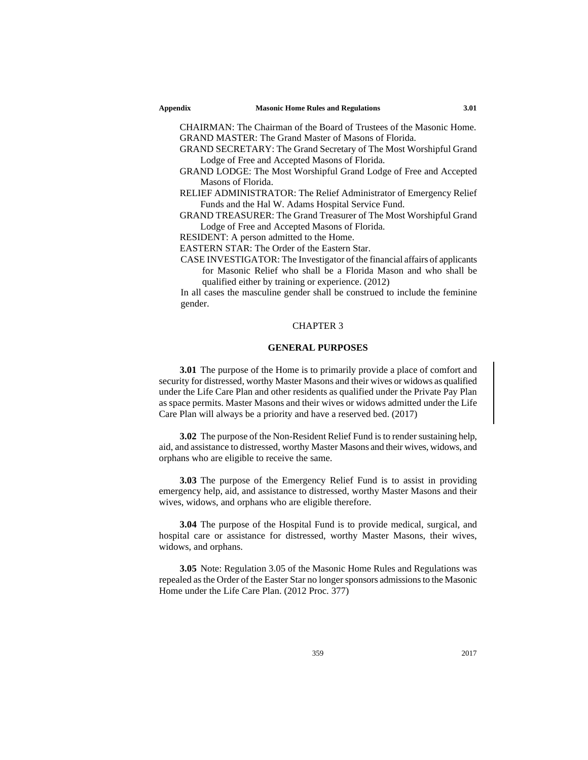CHAIRMAN: The Chairman of the Board of Trustees of the Masonic Home. GRAND MASTER: The Grand Master of Masons of Florida.

GRAND SECRETARY: The Grand Secretary of The Most Worshipful Grand Lodge of Free and Accepted Masons of Florida.

- GRAND LODGE: The Most Worshipful Grand Lodge of Free and Accepted Masons of Florida.
- RELIEF ADMINISTRATOR: The Relief Administrator of Emergency Relief Funds and the Hal W. Adams Hospital Service Fund.

GRAND TREASURER: The Grand Treasurer of The Most Worshipful Grand Lodge of Free and Accepted Masons of Florida.

RESIDENT: A person admitted to the Home.

EASTERN STAR: The Order of the Eastern Star.

CASE INVESTIGATOR: The Investigator of the financial affairs of applicants for Masonic Relief who shall be a Florida Mason and who shall be qualified either by training or experience. (2012)

In all cases the masculine gender shall be construed to include the feminine gender.

#### CHAPTER 3

### **GENERAL PURPOSES**

**3.01** The purpose of the Home is to primarily provide a place of comfort and security for distressed, worthy Master Masons and their wives or widows as qualified under the Life Care Plan and other residents as qualified under the Private Pay Plan as space permits. Master Masons and their wives or widows admitted under the Life Care Plan will always be a priority and have a reserved bed. (2017)

**3.02** The purpose of the Non-Resident Relief Fund is to render sustaining help, aid, and assistance to distressed, worthy Master Masons and their wives, widows, and orphans who are eligible to receive the same.

**3.03** The purpose of the Emergency Relief Fund is to assist in providing emergency help, aid, and assistance to distressed, worthy Master Masons and their wives, widows, and orphans who are eligible therefore.

**3.04** The purpose of the Hospital Fund is to provide medical, surgical, and hospital care or assistance for distressed, worthy Master Masons, their wives, widows, and orphans.

**3.05** Note: Regulation 3.05 of the Masonic Home Rules and Regulations was repealed as the Order of the Easter Star no longer sponsors admissions to the Masonic Home under the Life Care Plan. (2012 Proc. 377)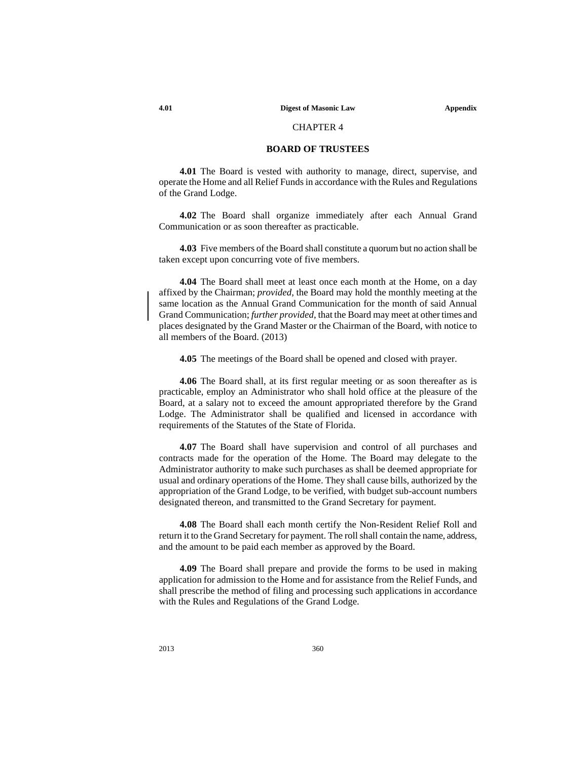#### **4.01 Digest of Masonic Law Appendix**

# CHAPTER 4

#### **BOARD OF TRUSTEES**

**4.01** The Board is vested with authority to manage, direct, supervise, and operate the Home and all Relief Funds in accordance with the Rules and Regulations of the Grand Lodge.

**4.02** The Board shall organize immediately after each Annual Grand Communication or as soon thereafter as practicable.

**4.03** Five members of the Board shall constitute a quorum but no action shall be taken except upon concurring vote of five members.

**4.04** The Board shall meet at least once each month at the Home, on a day affixed by the Chairman; *provided,* the Board may hold the monthly meeting at the same location as the Annual Grand Communication for the month of said Annual Grand Communication; *further provided*, that the Board may meet at other times and places designated by the Grand Master or the Chairman of the Board, with notice to all members of the Board. (2013)

**4.05** The meetings of the Board shall be opened and closed with prayer.

**4.06** The Board shall, at its first regular meeting or as soon thereafter as is practicable, employ an Administrator who shall hold office at the pleasure of the Board, at a salary not to exceed the amount appropriated therefore by the Grand Lodge. The Administrator shall be qualified and licensed in accordance with requirements of the Statutes of the State of Florida.

**4.07** The Board shall have supervision and control of all purchases and contracts made for the operation of the Home. The Board may delegate to the Administrator authority to make such purchases as shall be deemed appropriate for usual and ordinary operations of the Home. They shall cause bills, authorized by the appropriation of the Grand Lodge, to be verified, with budget sub-account numbers designated thereon, and transmitted to the Grand Secretary for payment.

**4.08** The Board shall each month certify the Non-Resident Relief Roll and return it to the Grand Secretary for payment. The roll shall contain the name, address, and the amount to be paid each member as approved by the Board.

**4.09** The Board shall prepare and provide the forms to be used in making application for admission to the Home and for assistance from the Relief Funds, and shall prescribe the method of filing and processing such applications in accordance with the Rules and Regulations of the Grand Lodge.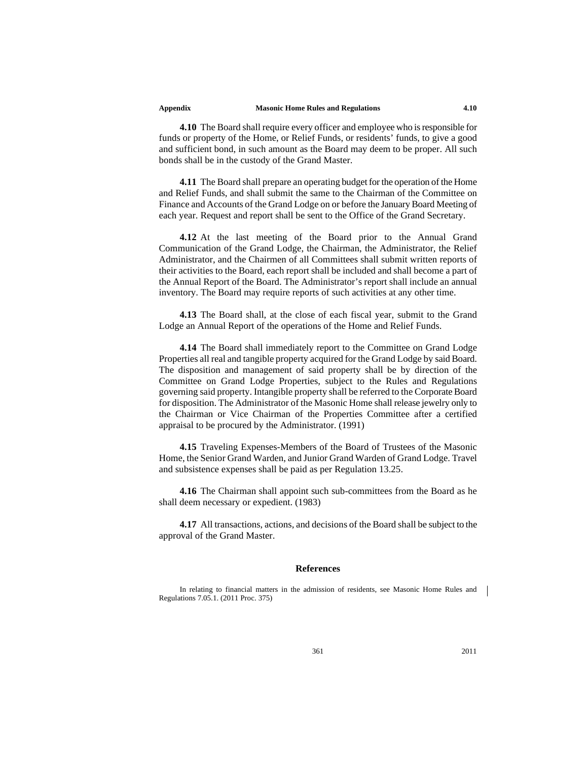**4.10** The Board shall require every officer and employee who is responsible for funds or property of the Home, or Relief Funds, or residents' funds, to give a good and sufficient bond, in such amount as the Board may deem to be proper. All such bonds shall be in the custody of the Grand Master.

**4.11** The Board shall prepare an operating budget for the operation of the Home and Relief Funds, and shall submit the same to the Chairman of the Committee on Finance and Accounts of the Grand Lodge on or before the January Board Meeting of each year. Request and report shall be sent to the Office of the Grand Secretary.

**4.12** At the last meeting of the Board prior to the Annual Grand Communication of the Grand Lodge, the Chairman, the Administrator, the Relief Administrator, and the Chairmen of all Committees shall submit written reports of their activities to the Board, each report shall be included and shall become a part of the Annual Report of the Board. The Administrator's report shall include an annual inventory. The Board may require reports of such activities at any other time.

**4.13** The Board shall, at the close of each fiscal year, submit to the Grand Lodge an Annual Report of the operations of the Home and Relief Funds.

**4.14** The Board shall immediately report to the Committee on Grand Lodge Properties all real and tangible property acquired for the Grand Lodge by said Board. The disposition and management of said property shall be by direction of the Committee on Grand Lodge Properties, subject to the Rules and Regulations governing said property. Intangible property shall be referred to the Corporate Board for disposition. The Administrator of the Masonic Home shall release jewelry only to the Chairman or Vice Chairman of the Properties Committee after a certified appraisal to be procured by the Administrator. (1991)

**4.15** Traveling Expenses-Members of the Board of Trustees of the Masonic Home, the Senior Grand Warden, and Junior Grand Warden of Grand Lodge. Travel and subsistence expenses shall be paid as per Regulation 13.25.

**4.16** The Chairman shall appoint such sub-committees from the Board as he shall deem necessary or expedient. (1983)

**4.17** All transactions, actions, and decisions of the Board shall be subject to the approval of the Grand Master.

#### **References**

In relating to financial matters in the admission of residents, see Masonic Home Rules and Regulations 7.05.1. (2011 Proc. 375)

361 2011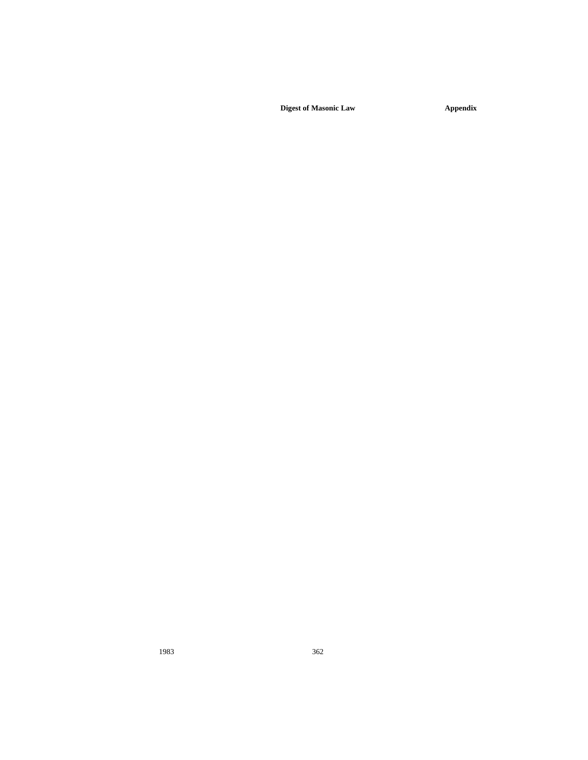**Digest of Masonic Law Appendix**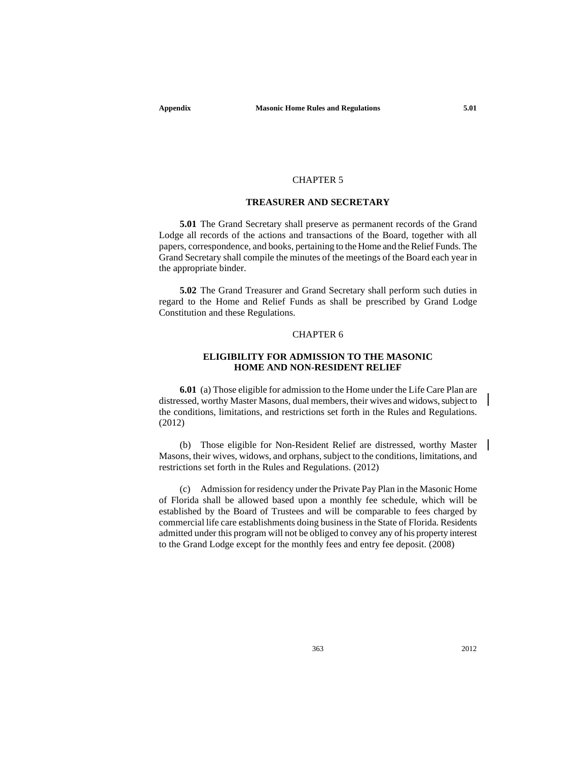# CHAPTER 5

#### **TREASURER AND SECRETARY**

**5.01** The Grand Secretary shall preserve as permanent records of the Grand Lodge all records of the actions and transactions of the Board, together with all papers, correspondence, and books, pertaining to the Home and the Relief Funds. The Grand Secretary shall compile the minutes of the meetings of the Board each year in the appropriate binder.

**5.02** The Grand Treasurer and Grand Secretary shall perform such duties in regard to the Home and Relief Funds as shall be prescribed by Grand Lodge Constitution and these Regulations.

#### CHAPTER 6

### **ELIGIBILITY FOR ADMISSION TO THE MASONIC HOME AND NON-RESIDENT RELIEF**

**6.01** (a) Those eligible for admission to the Home under the Life Care Plan are distressed, worthy Master Masons, dual members, their wives and widows, subject to the conditions, limitations, and restrictions set forth in the Rules and Regulations. (2012)

(b) Those eligible for Non-Resident Relief are distressed, worthy Master Masons, their wives, widows, and orphans, subject to the conditions, limitations, and restrictions set forth in the Rules and Regulations. (2012)

(c) Admission for residency under the Private Pay Plan in the Masonic Home of Florida shall be allowed based upon a monthly fee schedule, which will be established by the Board of Trustees and will be comparable to fees charged by commercial life care establishments doing business in the State of Florida. Residents admitted under this program will not be obliged to convey any of his property interest to the Grand Lodge except for the monthly fees and entry fee deposit. (2008)

 $\overline{\phantom{a}}$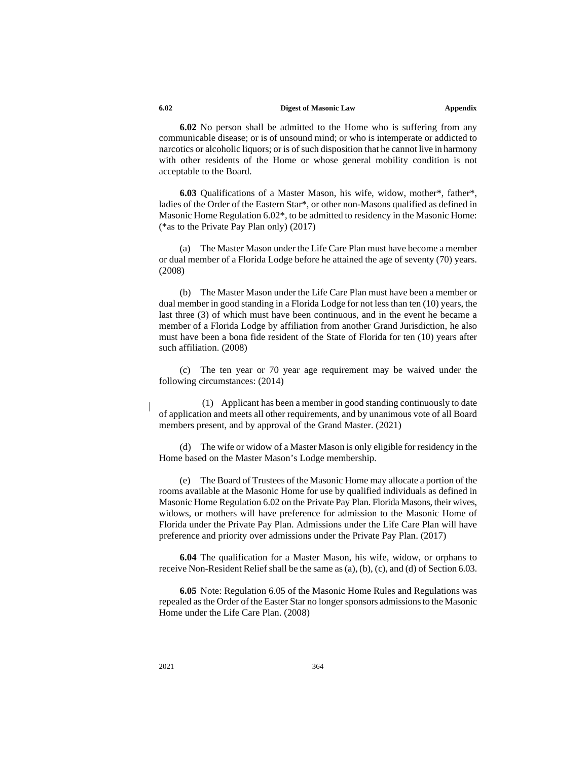**6.02** No person shall be admitted to the Home who is suffering from any communicable disease; or is of unsound mind; or who is intemperate or addicted to narcotics or alcoholic liquors; or is of such disposition that he cannot live in harmony with other residents of the Home or whose general mobility condition is not acceptable to the Board.

**6.03** Qualifications of a Master Mason, his wife, widow, mother\*, father\*, ladies of the Order of the Eastern Star\*, or other non-Masons qualified as defined in Masonic Home Regulation 6.02\*, to be admitted to residency in the Masonic Home: (\*as to the Private Pay Plan only) (2017)

(a) The Master Mason under the Life Care Plan must have become a member or dual member of a Florida Lodge before he attained the age of seventy (70) years. (2008)

(b) The Master Mason under the Life Care Plan must have been a member or dual member in good standing in a Florida Lodge for not less than ten (10) years, the last three (3) of which must have been continuous, and in the event he became a member of a Florida Lodge by affiliation from another Grand Jurisdiction, he also must have been a bona fide resident of the State of Florida for ten (10) years after such affiliation. (2008)

(c) The ten year or 70 year age requirement may be waived under the following circumstances: (2014)

(1) Applicant has been a member in good standing continuously to date of application and meets all other requirements, and by unanimous vote of all Board members present, and by approval of the Grand Master. (2021)

(d) The wife or widow of a Master Mason is only eligible for residency in the Home based on the Master Mason's Lodge membership.

(e) The Board of Trustees of the Masonic Home may allocate a portion of the rooms available at the Masonic Home for use by qualified individuals as defined in Masonic Home Regulation 6.02 on the Private Pay Plan. Florida Masons, their wives, widows, or mothers will have preference for admission to the Masonic Home of Florida under the Private Pay Plan. Admissions under the Life Care Plan will have preference and priority over admissions under the Private Pay Plan. (2017)

**6.04** The qualification for a Master Mason, his wife, widow, or orphans to receive Non-Resident Relief shall be the same as (a), (b), (c), and (d) of Section 6.03.

**6.05** Note: Regulation 6.05 of the Masonic Home Rules and Regulations was repealed as the Order of the Easter Star no longer sponsors admissions to the Masonic Home under the Life Care Plan. (2008)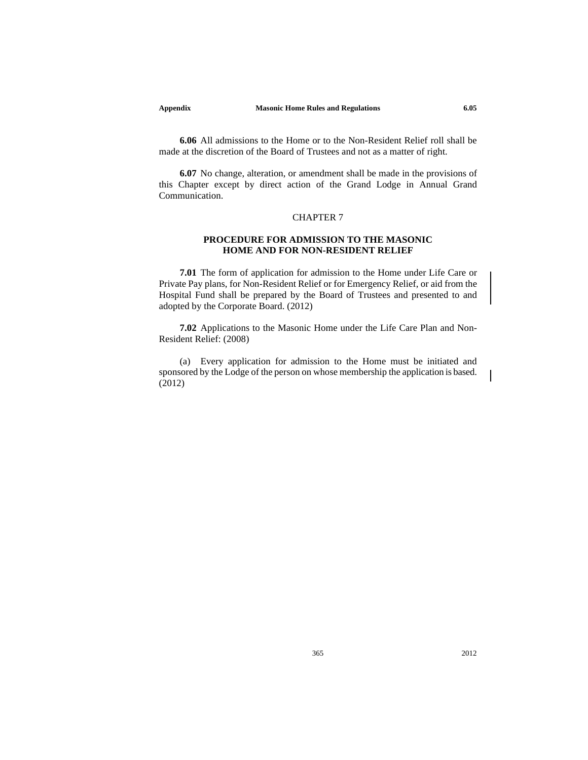**6.06** All admissions to the Home or to the Non-Resident Relief roll shall be made at the discretion of the Board of Trustees and not as a matter of right.

**6.07** No change, alteration, or amendment shall be made in the provisions of this Chapter except by direct action of the Grand Lodge in Annual Grand Communication.

#### CHAPTER 7

# **PROCEDURE FOR ADMISSION TO THE MASONIC HOME AND FOR NON-RESIDENT RELIEF**

**7.01** The form of application for admission to the Home under Life Care or Private Pay plans, for Non-Resident Relief or for Emergency Relief, or aid from the Hospital Fund shall be prepared by the Board of Trustees and presented to and adopted by the Corporate Board. (2012)

**7.02** Applications to the Masonic Home under the Life Care Plan and Non-Resident Relief: (2008)

(a) Every application for admission to the Home must be initiated and sponsored by the Lodge of the person on whose membership the application is based. (2012)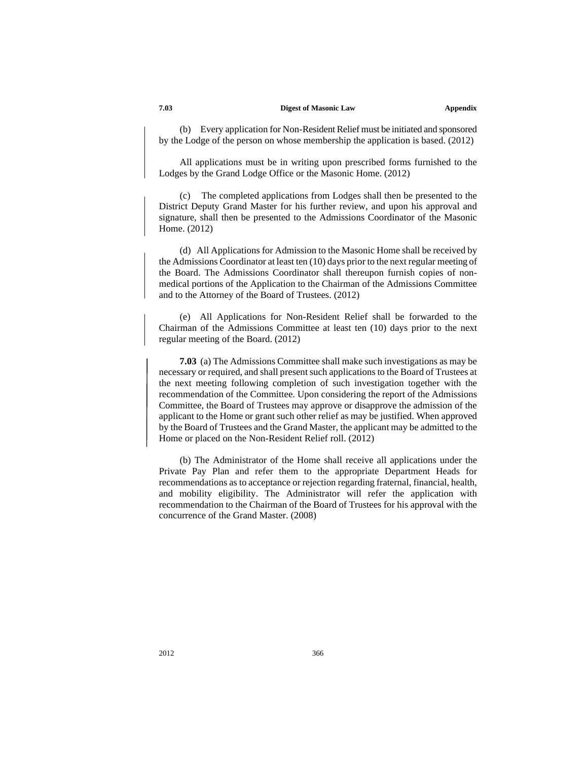#### **7.03 Digest of Masonic Law Appendix**

(b) Every application for Non-Resident Relief must be initiated and sponsored by the Lodge of the person on whose membership the application is based. (2012)

All applications must be in writing upon prescribed forms furnished to the Lodges by the Grand Lodge Office or the Masonic Home. (2012)

(c) The completed applications from Lodges shall then be presented to the District Deputy Grand Master for his further review, and upon his approval and signature, shall then be presented to the Admissions Coordinator of the Masonic Home. (2012)

(d) All Applications for Admission to the Masonic Home shall be received by the Admissions Coordinator at least ten (10) days prior to the next regular meeting of the Board. The Admissions Coordinator shall thereupon furnish copies of nonmedical portions of the Application to the Chairman of the Admissions Committee and to the Attorney of the Board of Trustees. (2012)

(e) All Applications for Non-Resident Relief shall be forwarded to the Chairman of the Admissions Committee at least ten (10) days prior to the next regular meeting of the Board. (2012)

**7.03** (a) The Admissions Committee shall make such investigations as may be necessary or required, and shall present such applications to the Board of Trustees at the next meeting following completion of such investigation together with the recommendation of the Committee. Upon considering the report of the Admissions Committee, the Board of Trustees may approve or disapprove the admission of the applicant to the Home or grant such other relief as may be justified. When approved by the Board of Trustees and the Grand Master, the applicant may be admitted to the Home or placed on the Non-Resident Relief roll. (2012)

(b) The Administrator of the Home shall receive all applications under the Private Pay Plan and refer them to the appropriate Department Heads for recommendations as to acceptance or rejection regarding fraternal, financial, health, and mobility eligibility. The Administrator will refer the application with recommendation to the Chairman of the Board of Trustees for his approval with the concurrence of the Grand Master. (2008)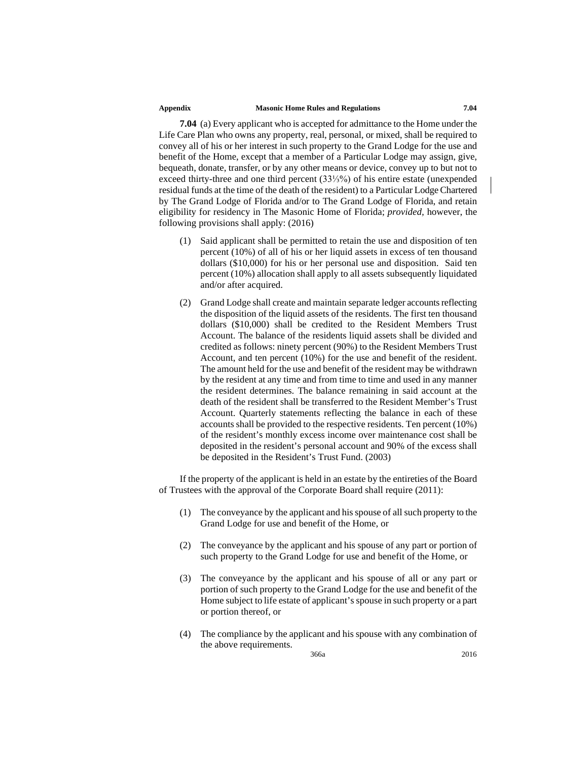#### **Appendix Masonic Home Rules and Regulations 7.04**

**7.04** (a) Every applicant who is accepted for admittance to the Home under the Life Care Plan who owns any property, real, personal, or mixed, shall be required to convey all of his or her interest in such property to the Grand Lodge for the use and benefit of the Home, except that a member of a Particular Lodge may assign, give, bequeath, donate, transfer, or by any other means or device, convey up to but not to exceed thirty-three and one third percent (33⅓%) of his entire estate (unexpended residual funds at the time of the death of the resident) to a Particular Lodge Chartered by The Grand Lodge of Florida and/or to The Grand Lodge of Florida, and retain eligibility for residency in The Masonic Home of Florida; *provided,* however, the following provisions shall apply: (2016)

- (1) Said applicant shall be permitted to retain the use and disposition of ten percent (10%) of all of his or her liquid assets in excess of ten thousand dollars (\$10,000) for his or her personal use and disposition. Said ten percent (10%) allocation shall apply to all assets subsequently liquidated and/or after acquired.
- (2) Grand Lodge shall create and maintain separate ledger accounts reflecting the disposition of the liquid assets of the residents. The first ten thousand dollars (\$10,000) shall be credited to the Resident Members Trust Account. The balance of the residents liquid assets shall be divided and credited as follows: ninety percent (90%) to the Resident Members Trust Account, and ten percent (10%) for the use and benefit of the resident. The amount held for the use and benefit of the resident may be withdrawn by the resident at any time and from time to time and used in any manner the resident determines. The balance remaining in said account at the death of the resident shall be transferred to the Resident Member's Trust Account. Quarterly statements reflecting the balance in each of these accounts shall be provided to the respective residents. Ten percent (10%) of the resident's monthly excess income over maintenance cost shall be deposited in the resident's personal account and 90% of the excess shall be deposited in the Resident's Trust Fund. (2003)

If the property of the applicant is held in an estate by the entireties of the Board of Trustees with the approval of the Corporate Board shall require (2011):

- (1) The conveyance by the applicant and his spouse of all such property to the Grand Lodge for use and benefit of the Home, or
- (2) The conveyance by the applicant and his spouse of any part or portion of such property to the Grand Lodge for use and benefit of the Home, or
- (3) The conveyance by the applicant and his spouse of all or any part or portion of such property to the Grand Lodge for the use and benefit of the Home subject to life estate of applicant's spouse in such property or a part or portion thereof, or
- (4) The compliance by the applicant and his spouse with any combination of the above requirements.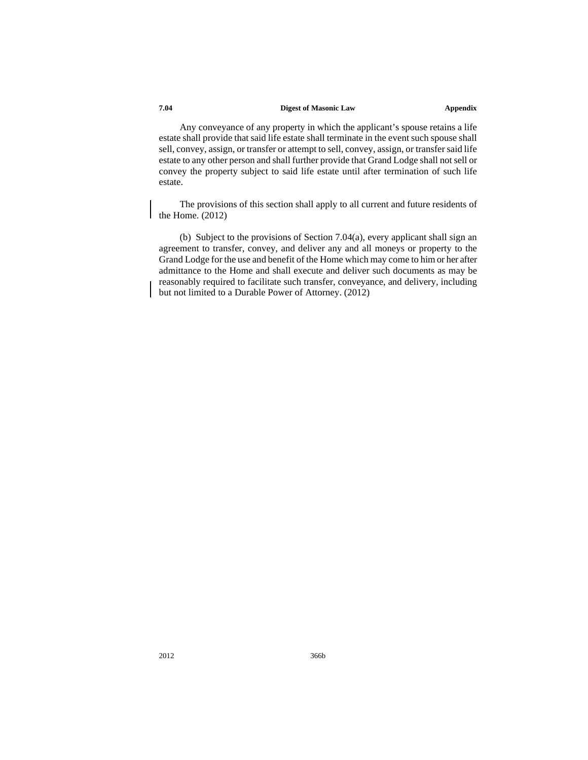### **7.04 Digest of Masonic Law Appendix**

Any conveyance of any property in which the applicant's spouse retains a life estate shall provide that said life estate shall terminate in the event such spouse shall sell, convey, assign, or transfer or attempt to sell, convey, assign, or transfer said life estate to any other person and shall further provide that Grand Lodge shall not sell or convey the property subject to said life estate until after termination of such life estate.

The provisions of this section shall apply to all current and future residents of the Home. (2012)

(b) Subject to the provisions of Section 7.04(a), every applicant shall sign an agreement to transfer, convey, and deliver any and all moneys or property to the Grand Lodge for the use and benefit of the Home which may come to him or her after admittance to the Home and shall execute and deliver such documents as may be reasonably required to facilitate such transfer, conveyance, and delivery, including but not limited to a Durable Power of Attorney. (2012)

2012 366b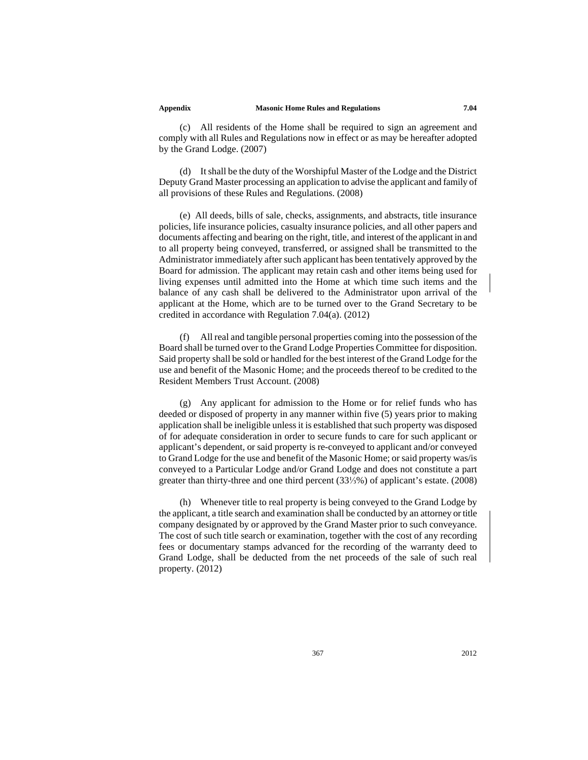(c) All residents of the Home shall be required to sign an agreement and comply with all Rules and Regulations now in effect or as may be hereafter adopted by the Grand Lodge. (2007)

(d) It shall be the duty of the Worshipful Master of the Lodge and the District Deputy Grand Master processing an application to advise the applicant and family of all provisions of these Rules and Regulations. (2008)

(e) All deeds, bills of sale, checks, assignments, and abstracts, title insurance policies, life insurance policies, casualty insurance policies, and all other papers and documents affecting and bearing on the right, title, and interest of the applicant in and to all property being conveyed, transferred, or assigned shall be transmitted to the Administrator immediately after such applicant has been tentatively approved by the Board for admission. The applicant may retain cash and other items being used for living expenses until admitted into the Home at which time such items and the balance of any cash shall be delivered to the Administrator upon arrival of the applicant at the Home, which are to be turned over to the Grand Secretary to be credited in accordance with Regulation 7.04(a). (2012)

(f) All real and tangible personal properties coming into the possession of the Board shall be turned over to the Grand Lodge Properties Committee for disposition. Said property shall be sold or handled for the best interest of the Grand Lodge for the use and benefit of the Masonic Home; and the proceeds thereof to be credited to the Resident Members Trust Account. (2008)

(g) Any applicant for admission to the Home or for relief funds who has deeded or disposed of property in any manner within five (5) years prior to making application shall be ineligible unless it is established that such property was disposed of for adequate consideration in order to secure funds to care for such applicant or applicant's dependent, or said property is re-conveyed to applicant and/or conveyed to Grand Lodge for the use and benefit of the Masonic Home; or said property was/is conveyed to a Particular Lodge and/or Grand Lodge and does not constitute a part greater than thirty-three and one third percent (33⅓%) of applicant's estate. (2008)

(h) Whenever title to real property is being conveyed to the Grand Lodge by the applicant, a title search and examination shall be conducted by an attorney or title company designated by or approved by the Grand Master prior to such conveyance. The cost of such title search or examination, together with the cost of any recording fees or documentary stamps advanced for the recording of the warranty deed to Grand Lodge, shall be deducted from the net proceeds of the sale of such real property. (2012)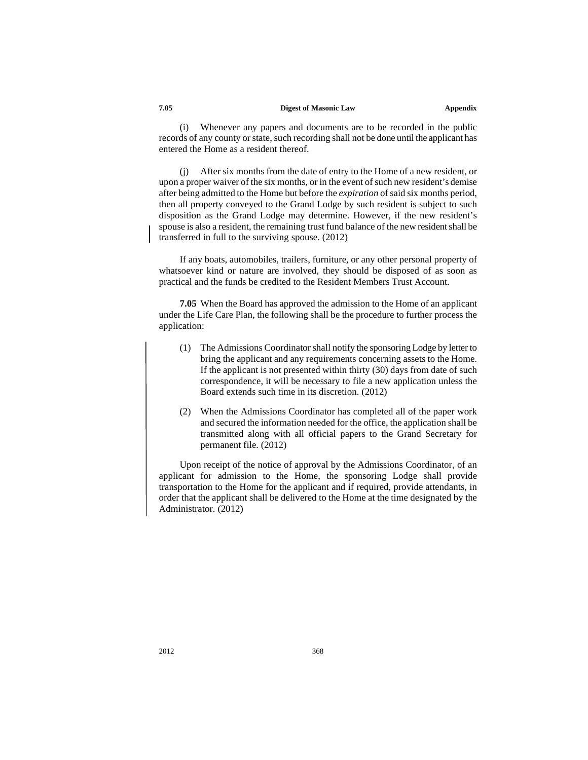#### **7.05 Digest of Masonic Law Appendix**

(i) Whenever any papers and documents are to be recorded in the public records of any county or state, such recording shall not be done until the applicant has entered the Home as a resident thereof.

(j) After six months from the date of entry to the Home of a new resident, or upon a proper waiver of the six months, or in the event of such new resident's demise after being admitted to the Home but before the *expiration* of said six months period, then all property conveyed to the Grand Lodge by such resident is subject to such disposition as the Grand Lodge may determine. However, if the new resident's spouse is also a resident, the remaining trust fund balance of the new resident shall be transferred in full to the surviving spouse. (2012)

If any boats, automobiles, trailers, furniture, or any other personal property of whatsoever kind or nature are involved, they should be disposed of as soon as practical and the funds be credited to the Resident Members Trust Account.

**7.05** When the Board has approved the admission to the Home of an applicant under the Life Care Plan, the following shall be the procedure to further process the application:

- (1) The Admissions Coordinator shall notify the sponsoring Lodge by letter to bring the applicant and any requirements concerning assets to the Home. If the applicant is not presented within thirty (30) days from date of such correspondence, it will be necessary to file a new application unless the Board extends such time in its discretion. (2012)
- (2) When the Admissions Coordinator has completed all of the paper work and secured the information needed for the office, the application shall be transmitted along with all official papers to the Grand Secretary for permanent file. (2012)

Upon receipt of the notice of approval by the Admissions Coordinator, of an applicant for admission to the Home, the sponsoring Lodge shall provide transportation to the Home for the applicant and if required, provide attendants, in order that the applicant shall be delivered to the Home at the time designated by the Administrator. (2012)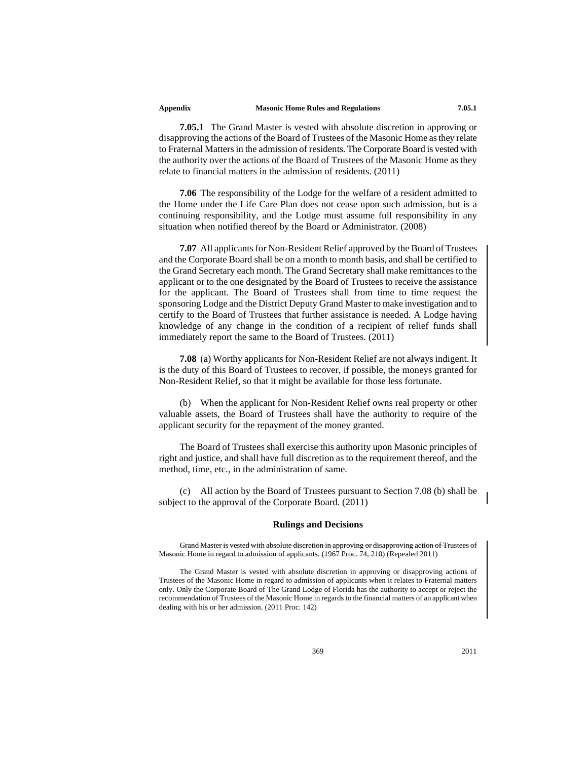**7.05.1** The Grand Master is vested with absolute discretion in approving or disapproving the actions of the Board of Trustees of the Masonic Home asthey relate to Fraternal Matters in the admission of residents. The Corporate Board is vested with the authority over the actions of the Board of Trustees of the Masonic Home as they relate to financial matters in the admission of residents. (2011)

**7.06** The responsibility of the Lodge for the welfare of a resident admitted to the Home under the Life Care Plan does not cease upon such admission, but is a continuing responsibility, and the Lodge must assume full responsibility in any situation when notified thereof by the Board or Administrator. (2008)

**7.07** All applicants for Non-Resident Relief approved by the Board of Trustees and the Corporate Board shall be on a month to month basis, and shall be certified to the Grand Secretary each month. The Grand Secretary shall make remittances to the applicant or to the one designated by the Board of Trustees to receive the assistance for the applicant. The Board of Trustees shall from time to time request the sponsoring Lodge and the District Deputy Grand Master to make investigation and to certify to the Board of Trustees that further assistance is needed. A Lodge having knowledge of any change in the condition of a recipient of relief funds shall immediately report the same to the Board of Trustees. (2011)

**7.08** (a) Worthy applicants for Non-Resident Relief are not always indigent. It is the duty of this Board of Trustees to recover, if possible, the moneys granted for Non-Resident Relief, so that it might be available for those less fortunate.

(b) When the applicant for Non-Resident Relief owns real property or other valuable assets, the Board of Trustees shall have the authority to require of the applicant security for the repayment of the money granted.

The Board of Trustees shall exercise this authority upon Masonic principles of right and justice, and shall have full discretion as to the requirement thereof, and the method, time, etc., in the administration of same.

(c) All action by the Board of Trustees pursuant to Section 7.08 (b) shall be subject to the approval of the Corporate Board. (2011)

#### **Rulings and Decisions**

Grand Master is vested with absolute discretion in approving or disapproving action of Trustees of  $(1967$  Proc. 74, 210) (Repealed 2011)

The Grand Master is vested with absolute discretion in approving or disapproving actions of Trustees of the Masonic Home in regard to admission of applicants when it relates to Fraternal matters only. Only the Corporate Board of The Grand Lodge of Florida has the authority to accept or reject the recommendation of Trustees of the Masonic Home in regards to the financial matters of an applicant when dealing with his or her admission. (2011 Proc. 142)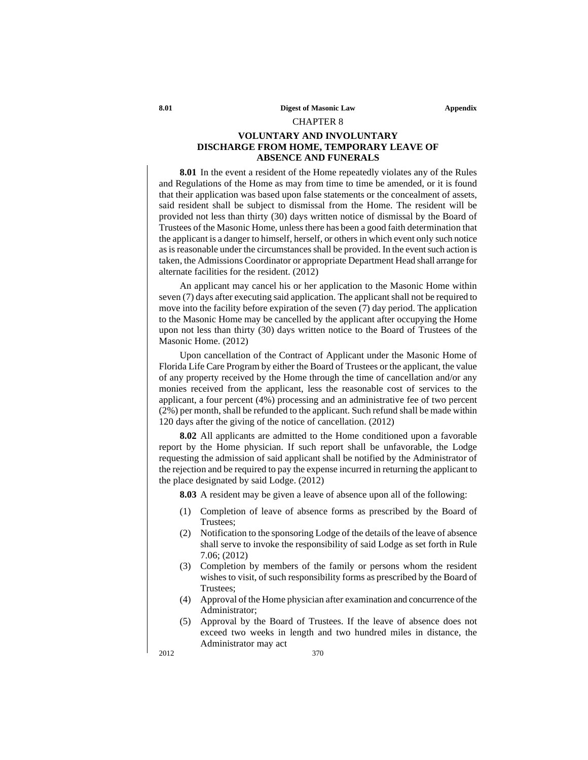CHAPTER 8

# **VOLUNTARY AND INVOLUNTARY DISCHARGE FROM HOME, TEMPORARY LEAVE OF ABSENCE AND FUNERALS**

**8.01** In the event a resident of the Home repeatedly violates any of the Rules and Regulations of the Home as may from time to time be amended, or it is found that their application was based upon false statements or the concealment of assets, said resident shall be subject to dismissal from the Home. The resident will be provided not less than thirty (30) days written notice of dismissal by the Board of Trustees of the Masonic Home, unless there has been a good faith determination that the applicant is a danger to himself, herself, or others in which event only such notice as is reasonable under the circumstances shall be provided. In the event such action is taken, the Admissions Coordinator or appropriate Department Head shall arrange for alternate facilities for the resident. (2012)

An applicant may cancel his or her application to the Masonic Home within seven (7) days after executing said application. The applicant shall not be required to move into the facility before expiration of the seven (7) day period. The application to the Masonic Home may be cancelled by the applicant after occupying the Home upon not less than thirty (30) days written notice to the Board of Trustees of the Masonic Home. (2012)

Upon cancellation of the Contract of Applicant under the Masonic Home of Florida Life Care Program by either the Board of Trustees or the applicant, the value of any property received by the Home through the time of cancellation and/or any monies received from the applicant, less the reasonable cost of services to the applicant, a four percent (4%) processing and an administrative fee of two percent (2%) per month, shall be refunded to the applicant. Such refund shall be made within 120 days after the giving of the notice of cancellation. (2012)

**8.02** All applicants are admitted to the Home conditioned upon a favorable report by the Home physician. If such report shall be unfavorable, the Lodge requesting the admission of said applicant shall be notified by the Administrator of the rejection and be required to pay the expense incurred in returning the applicant to the place designated by said Lodge. (2012)

**8.03** A resident may be given a leave of absence upon all of the following:

- (1) Completion of leave of absence forms as prescribed by the Board of Trustees;
- (2) Notification to the sponsoring Lodge of the details of the leave of absence shall serve to invoke the responsibility of said Lodge as set forth in Rule 7.06; (2012)
- (3) Completion by members of the family or persons whom the resident wishes to visit, of such responsibility forms as prescribed by the Board of Trustees;
- (4) Approval of the Home physician after examination and concurrence of the Administrator;
- (5) Approval by the Board of Trustees. If the leave of absence does not exceed two weeks in length and two hundred miles in distance, the Administrator may act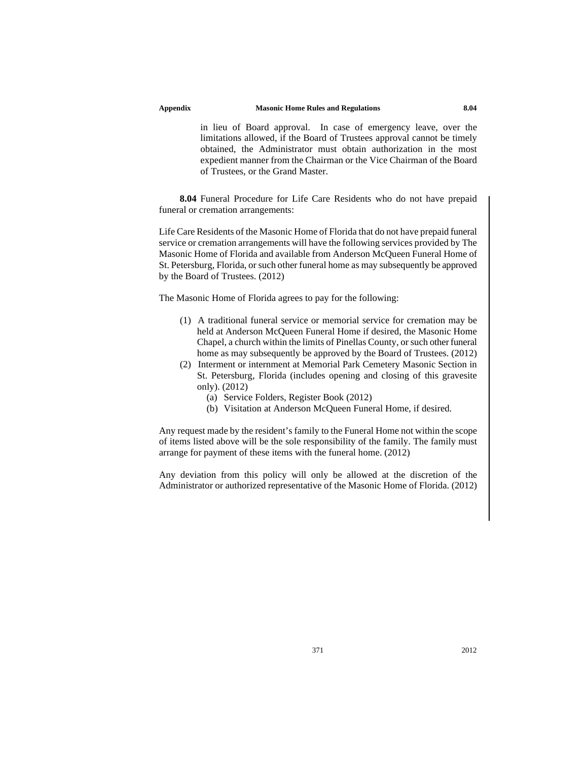in lieu of Board approval. In case of emergency leave, over the limitations allowed, if the Board of Trustees approval cannot be timely obtained, the Administrator must obtain authorization in the most expedient manner from the Chairman or the Vice Chairman of the Board of Trustees, or the Grand Master.

**8.04** Funeral Procedure for Life Care Residents who do not have prepaid funeral or cremation arrangements:

Life Care Residents of the Masonic Home of Florida that do not have prepaid funeral service or cremation arrangements will have the following services provided by The Masonic Home of Florida and available from Anderson McQueen Funeral Home of St. Petersburg, Florida, or such other funeral home as may subsequently be approved by the Board of Trustees. (2012)

The Masonic Home of Florida agrees to pay for the following:

- (1) A traditional funeral service or memorial service for cremation may be held at Anderson McQueen Funeral Home if desired, the Masonic Home Chapel, a church within the limits of Pinellas County, or such other funeral home as may subsequently be approved by the Board of Trustees. (2012)
- (2) Interment or internment at Memorial Park Cemetery Masonic Section in St. Petersburg, Florida (includes opening and closing of this gravesite only). (2012)
	- (a) Service Folders, Register Book (2012)
	- (b) Visitation at Anderson McQueen Funeral Home, if desired.

Any request made by the resident's family to the Funeral Home not within the scope of items listed above will be the sole responsibility of the family. The family must arrange for payment of these items with the funeral home. (2012)

Any deviation from this policy will only be allowed at the discretion of the Administrator or authorized representative of the Masonic Home of Florida. (2012)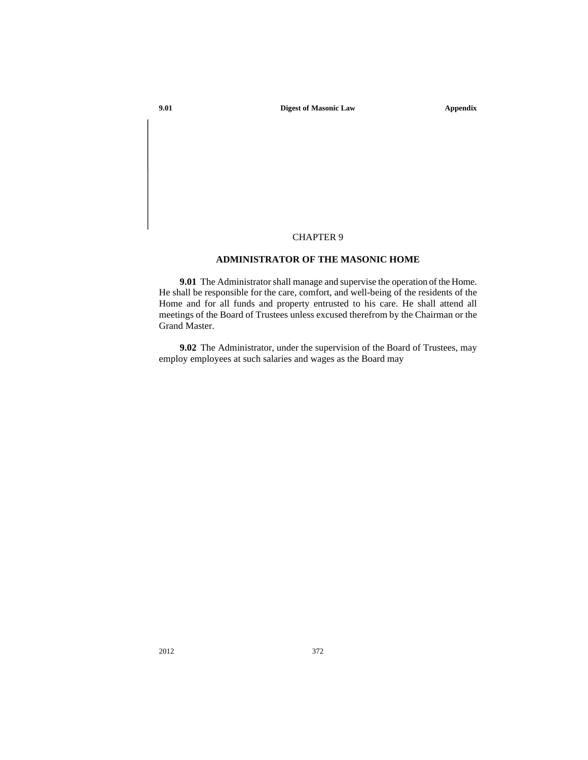# **9.01 Digest of Masonic Law Appendix**

# CHAPTER 9

# **ADMINISTRATOR OF THE MASONIC HOME**

**9.01** The Administrator shall manage and supervise the operation of the Home. He shall be responsible for the care, comfort, and well-being of the residents of the Home and for all funds and property entrusted to his care. He shall attend all meetings of the Board of Trustees unless excused therefrom by the Chairman or the Grand Master.

**9.02** The Administrator, under the supervision of the Board of Trustees, may employ employees at such salaries and wages as the Board may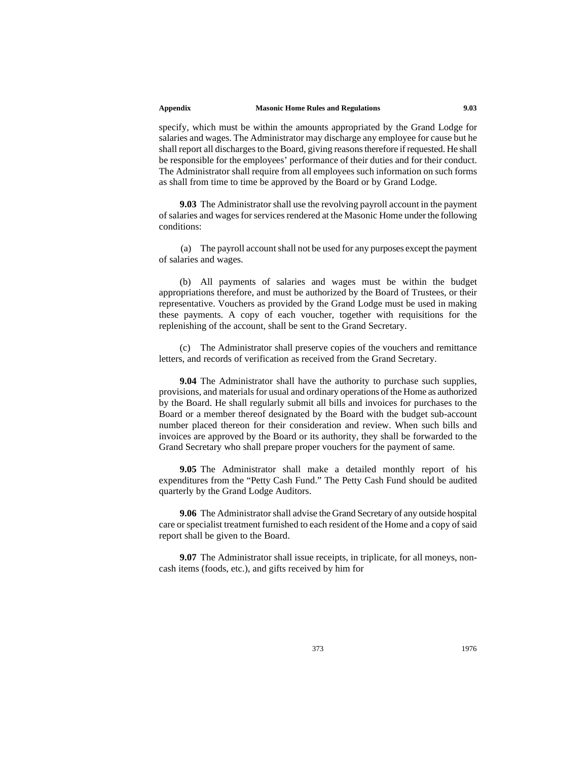specify, which must be within the amounts appropriated by the Grand Lodge for salaries and wages. The Administrator may discharge any employee for cause but he shall report all discharges to the Board, giving reasons therefore if requested. He shall be responsible for the employees' performance of their duties and for their conduct. The Administrator shall require from all employees such information on such forms as shall from time to time be approved by the Board or by Grand Lodge.

**9.03** The Administrator shall use the revolving payroll account in the payment of salaries and wages for services rendered at the Masonic Home under the following conditions:

(a) The payroll account shall not be used for any purposes except the payment of salaries and wages.

(b) All payments of salaries and wages must be within the budget appropriations therefore, and must be authorized by the Board of Trustees, or their representative. Vouchers as provided by the Grand Lodge must be used in making these payments. A copy of each voucher, together with requisitions for the replenishing of the account, shall be sent to the Grand Secretary.

(c) The Administrator shall preserve copies of the vouchers and remittance letters, and records of verification as received from the Grand Secretary.

**9.04** The Administrator shall have the authority to purchase such supplies, provisions, and materials for usual and ordinary operations of the Home as authorized by the Board. He shall regularly submit all bills and invoices for purchases to the Board or a member thereof designated by the Board with the budget sub-account number placed thereon for their consideration and review. When such bills and invoices are approved by the Board or its authority, they shall be forwarded to the Grand Secretary who shall prepare proper vouchers for the payment of same.

**9.05** The Administrator shall make a detailed monthly report of his expenditures from the "Petty Cash Fund." The Petty Cash Fund should be audited quarterly by the Grand Lodge Auditors.

**9.06** The Administrator shall advise the Grand Secretary of any outside hospital care or specialist treatment furnished to each resident of the Home and a copy of said report shall be given to the Board.

**9.07** The Administrator shall issue receipts, in triplicate, for all moneys, noncash items (foods, etc.), and gifts received by him for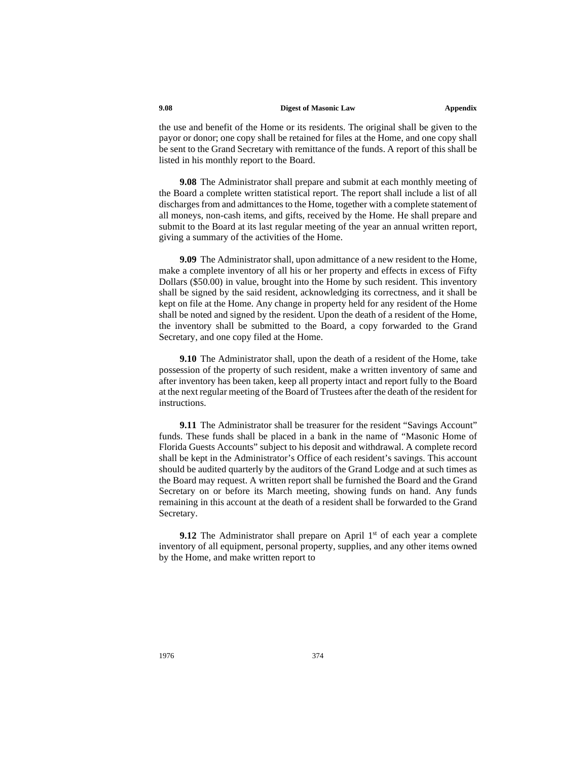#### **9.08 Digest of Masonic Law Appendix**

the use and benefit of the Home or its residents. The original shall be given to the payor or donor; one copy shall be retained for files at the Home, and one copy shall be sent to the Grand Secretary with remittance of the funds. A report of this shall be listed in his monthly report to the Board.

**9.08** The Administrator shall prepare and submit at each monthly meeting of the Board a complete written statistical report. The report shall include a list of all discharges from and admittances to the Home, together with a complete statement of all moneys, non-cash items, and gifts, received by the Home. He shall prepare and submit to the Board at its last regular meeting of the year an annual written report, giving a summary of the activities of the Home.

**9.09** The Administrator shall, upon admittance of a new resident to the Home, make a complete inventory of all his or her property and effects in excess of Fifty Dollars (\$50.00) in value, brought into the Home by such resident. This inventory shall be signed by the said resident, acknowledging its correctness, and it shall be kept on file at the Home. Any change in property held for any resident of the Home shall be noted and signed by the resident. Upon the death of a resident of the Home, the inventory shall be submitted to the Board, a copy forwarded to the Grand Secretary, and one copy filed at the Home.

**9.10** The Administrator shall, upon the death of a resident of the Home, take possession of the property of such resident, make a written inventory of same and after inventory has been taken, keep all property intact and report fully to the Board at the next regular meeting of the Board of Trustees after the death of the resident for instructions.

**9.11** The Administrator shall be treasurer for the resident "Savings Account" funds. These funds shall be placed in a bank in the name of "Masonic Home of Florida Guests Accounts" subject to his deposit and withdrawal. A complete record shall be kept in the Administrator's Office of each resident's savings. This account should be audited quarterly by the auditors of the Grand Lodge and at such times as the Board may request. A written report shall be furnished the Board and the Grand Secretary on or before its March meeting, showing funds on hand. Any funds remaining in this account at the death of a resident shall be forwarded to the Grand Secretary.

**9.12** The Administrator shall prepare on April  $1<sup>st</sup>$  of each year a complete inventory of all equipment, personal property, supplies, and any other items owned by the Home, and make written report to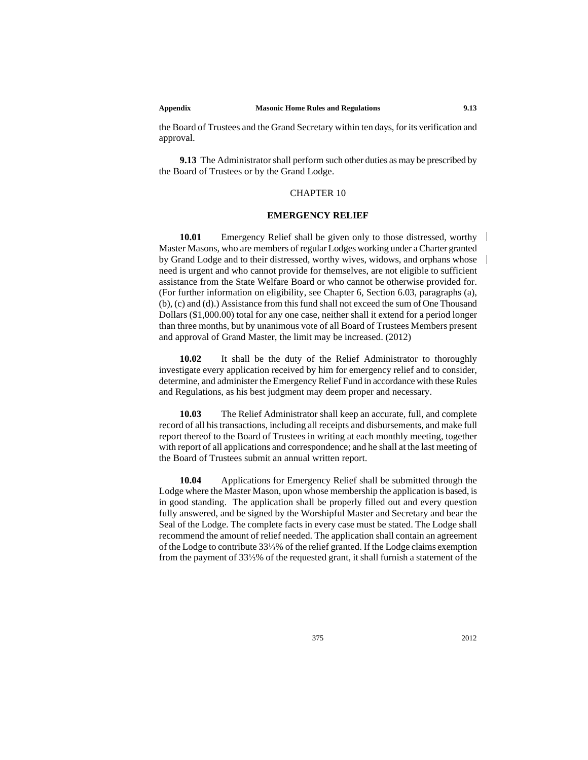the Board of Trustees and the Grand Secretary within ten days, for its verification and approval.

**9.13** The Administrator shall perform such other duties as may be prescribed by the Board of Trustees or by the Grand Lodge.

### CHAPTER 10

### **EMERGENCY RELIEF**

**10.01** Emergency Relief shall be given only to those distressed, worthy Master Masons, who are members of regular Lodges working under a Charter granted by Grand Lodge and to their distressed, worthy wives, widows, and orphans whose need is urgent and who cannot provide for themselves, are not eligible to sufficient assistance from the State Welfare Board or who cannot be otherwise provided for. (For further information on eligibility, see Chapter 6, Section 6.03, paragraphs (a), (b), (c) and (d).) Assistance from this fund shall not exceed the sum of One Thousand Dollars (\$1,000.00) total for any one case, neither shall it extend for a period longer than three months, but by unanimous vote of all Board of Trustees Members present and approval of Grand Master, the limit may be increased. (2012)

**10.02** It shall be the duty of the Relief Administrator to thoroughly investigate every application received by him for emergency relief and to consider, determine, and administer the Emergency Relief Fund in accordance with these Rules and Regulations, as his best judgment may deem proper and necessary.

**10.03** The Relief Administrator shall keep an accurate, full, and complete record of all his transactions, including all receipts and disbursements, and make full report thereof to the Board of Trustees in writing at each monthly meeting, together with report of all applications and correspondence; and he shall at the last meeting of the Board of Trustees submit an annual written report.

**10.04** Applications for Emergency Relief shall be submitted through the Lodge where the Master Mason, upon whose membership the application is based, is in good standing. The application shall be properly filled out and every question fully answered, and be signed by the Worshipful Master and Secretary and bear the Seal of the Lodge. The complete facts in every case must be stated. The Lodge shall recommend the amount of relief needed. The application shall contain an agreement of the Lodge to contribute 33⅓% of the relief granted. If the Lodge claims exemption from the payment of 33⅓% of the requested grant, it shall furnish a statement of the

375 2012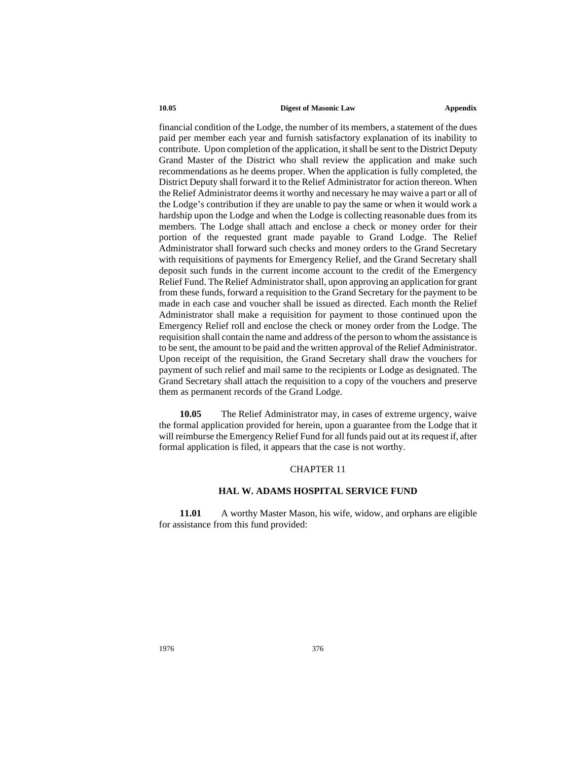#### **10.05 Digest of Masonic Law Appendix**

financial condition of the Lodge, the number of its members, a statement of the dues paid per member each year and furnish satisfactory explanation of its inability to contribute. Upon completion of the application, it shall be sent to the District Deputy Grand Master of the District who shall review the application and make such recommendations as he deems proper. When the application is fully completed, the District Deputy shall forward it to the Relief Administrator for action thereon. When the Relief Administrator deems it worthy and necessary he may waive a part or all of the Lodge's contribution if they are unable to pay the same or when it would work a hardship upon the Lodge and when the Lodge is collecting reasonable dues from its members. The Lodge shall attach and enclose a check or money order for their portion of the requested grant made payable to Grand Lodge. The Relief Administrator shall forward such checks and money orders to the Grand Secretary with requisitions of payments for Emergency Relief, and the Grand Secretary shall deposit such funds in the current income account to the credit of the Emergency Relief Fund. The Relief Administrator shall, upon approving an application for grant from these funds, forward a requisition to the Grand Secretary for the payment to be made in each case and voucher shall be issued as directed. Each month the Relief Administrator shall make a requisition for payment to those continued upon the Emergency Relief roll and enclose the check or money order from the Lodge. The requisition shall contain the name and address of the person to whom the assistance is to be sent, the amount to be paid and the written approval of the Relief Administrator. Upon receipt of the requisition, the Grand Secretary shall draw the vouchers for payment of such relief and mail same to the recipients or Lodge as designated. The Grand Secretary shall attach the requisition to a copy of the vouchers and preserve them as permanent records of the Grand Lodge.

**10.05** The Relief Administrator may, in cases of extreme urgency, waive the formal application provided for herein, upon a guarantee from the Lodge that it will reimburse the Emergency Relief Fund for all funds paid out at its request if, after formal application is filed, it appears that the case is not worthy.

# CHAPTER 11

#### **HAL W. ADAMS HOSPITAL SERVICE FUND**

**11.01** A worthy Master Mason, his wife, widow, and orphans are eligible for assistance from this fund provided: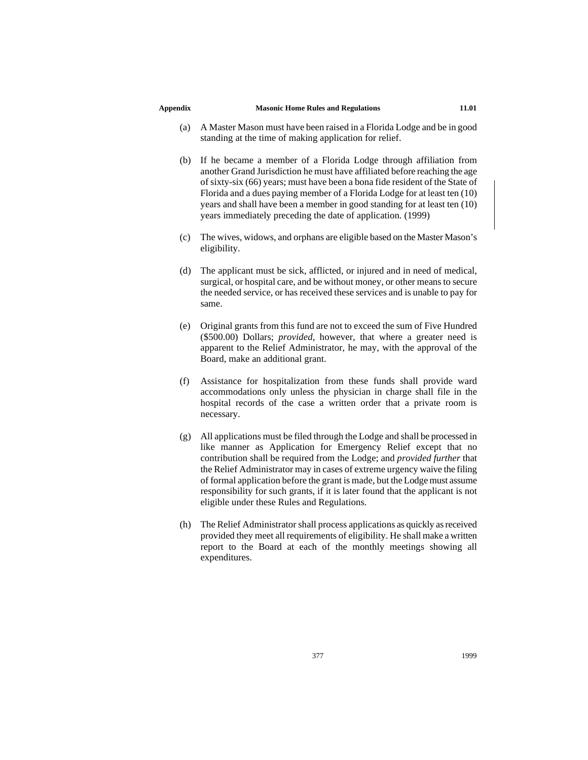#### **Appendix Masonic Home Rules and Regulations 11.01**

- (a) A Master Mason must have been raised in a Florida Lodge and be in good standing at the time of making application for relief.
- (b) If he became a member of a Florida Lodge through affiliation from another Grand Jurisdiction he must have affiliated before reaching the age of sixty-six (66) years; must have been a bona fide resident of the State of Florida and a dues paying member of a Florida Lodge for at least ten (10) years and shall have been a member in good standing for at least ten (10) years immediately preceding the date of application. (1999)
- (c) The wives, widows, and orphans are eligible based on the Master Mason's eligibility.
- (d) The applicant must be sick, afflicted, or injured and in need of medical, surgical, or hospital care, and be without money, or other means to secure the needed service, or has received these services and is unable to pay for same.
- (e) Original grants from this fund are not to exceed the sum of Five Hundred (\$500.00) Dollars; *provided*, however, that where a greater need is apparent to the Relief Administrator, he may, with the approval of the Board, make an additional grant.
- (f) Assistance for hospitalization from these funds shall provide ward accommodations only unless the physician in charge shall file in the hospital records of the case a written order that a private room is necessary.
- (g) All applications must be filed through the Lodge and shall be processed in like manner as Application for Emergency Relief except that no contribution shall be required from the Lodge; and *provided further* that the Relief Administrator may in cases of extreme urgency waive the filing of formal application before the grant is made, but the Lodge must assume responsibility for such grants, if it is later found that the applicant is not eligible under these Rules and Regulations.
- (h) The Relief Administrator shall process applications as quickly as received provided they meet all requirements of eligibility. He shall make a written report to the Board at each of the monthly meetings showing all expenditures.

377 1999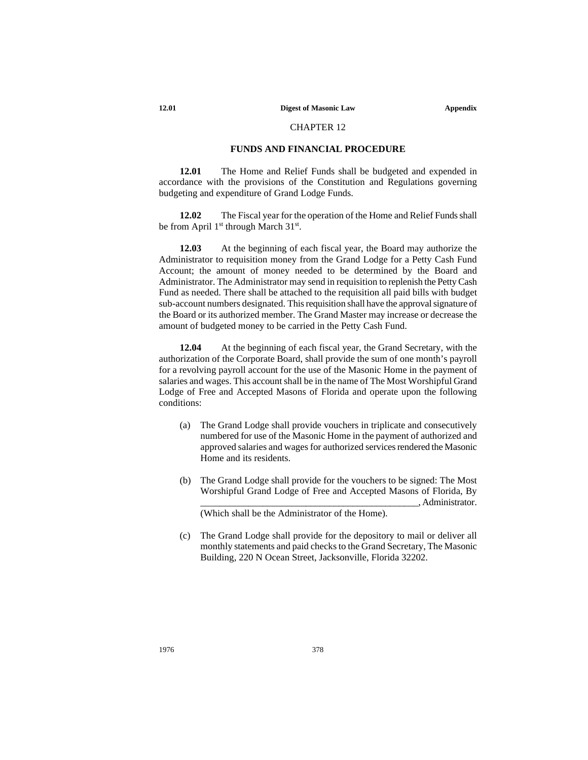#### **12.01 Digest of Masonic Law Appendix**

# CHAPTER 12

# **FUNDS AND FINANCIAL PROCEDURE**

**12.01** The Home and Relief Funds shall be budgeted and expended in accordance with the provisions of the Constitution and Regulations governing budgeting and expenditure of Grand Lodge Funds.

**12.02** The Fiscal year for the operation of the Home and Relief Funds shall be from April 1<sup>st</sup> through March 31<sup>st</sup>.

**12.03** At the beginning of each fiscal year, the Board may authorize the Administrator to requisition money from the Grand Lodge for a Petty Cash Fund Account; the amount of money needed to be determined by the Board and Administrator. The Administrator may send in requisition to replenish the Petty Cash Fund as needed. There shall be attached to the requisition all paid bills with budget sub-account numbers designated. This requisition shall have the approval signature of the Board or its authorized member. The Grand Master may increase or decrease the amount of budgeted money to be carried in the Petty Cash Fund.

**12.04** At the beginning of each fiscal year, the Grand Secretary, with the authorization of the Corporate Board, shall provide the sum of one month's payroll for a revolving payroll account for the use of the Masonic Home in the payment of salaries and wages. This account shall be in the name of The Most Worshipful Grand Lodge of Free and Accepted Masons of Florida and operate upon the following conditions:

- (a) The Grand Lodge shall provide vouchers in triplicate and consecutively numbered for use of the Masonic Home in the payment of authorized and approved salaries and wages for authorized services rendered the Masonic Home and its residents.
- (b) The Grand Lodge shall provide for the vouchers to be signed: The Most Worshipful Grand Lodge of Free and Accepted Masons of Florida, By \_\_\_\_\_\_\_\_\_\_\_\_\_\_\_\_\_\_\_\_\_\_\_\_\_\_\_\_\_\_\_\_\_\_\_\_\_\_\_\_\_\_\_\_\_\_, Administrator.

(Which shall be the Administrator of the Home).

(c) The Grand Lodge shall provide for the depository to mail or deliver all monthly statements and paid checks to the Grand Secretary, The Masonic Building, 220 N Ocean Street, Jacksonville, Florida 32202.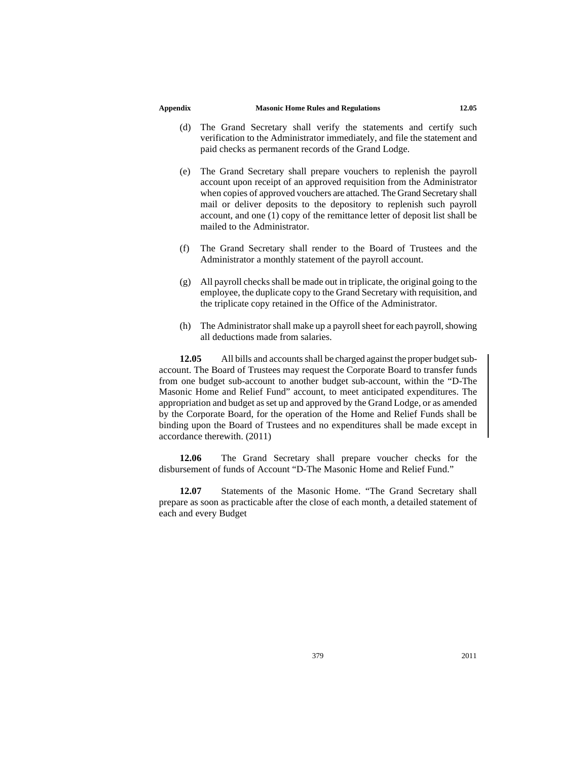- (d) The Grand Secretary shall verify the statements and certify such verification to the Administrator immediately, and file the statement and paid checks as permanent records of the Grand Lodge.
- (e) The Grand Secretary shall prepare vouchers to replenish the payroll account upon receipt of an approved requisition from the Administrator when copies of approved vouchers are attached. The Grand Secretary shall mail or deliver deposits to the depository to replenish such payroll account, and one (1) copy of the remittance letter of deposit list shall be mailed to the Administrator.
- (f) The Grand Secretary shall render to the Board of Trustees and the Administrator a monthly statement of the payroll account.
- (g) All payroll checks shall be made out in triplicate, the original going to the employee, the duplicate copy to the Grand Secretary with requisition, and the triplicate copy retained in the Office of the Administrator.
- (h) The Administrator shall make up a payroll sheet for each payroll, showing all deductions made from salaries.

**12.05** All bills and accounts shall be charged against the proper budget subaccount. The Board of Trustees may request the Corporate Board to transfer funds from one budget sub-account to another budget sub-account, within the "D-The Masonic Home and Relief Fund" account, to meet anticipated expenditures. The appropriation and budget as set up and approved by the Grand Lodge, or as amended by the Corporate Board, for the operation of the Home and Relief Funds shall be binding upon the Board of Trustees and no expenditures shall be made except in accordance therewith. (2011)

**12.06** The Grand Secretary shall prepare voucher checks for the disbursement of funds of Account "D-The Masonic Home and Relief Fund."

**12.07** Statements of the Masonic Home. "The Grand Secretary shall prepare as soon as practicable after the close of each month, a detailed statement of each and every Budget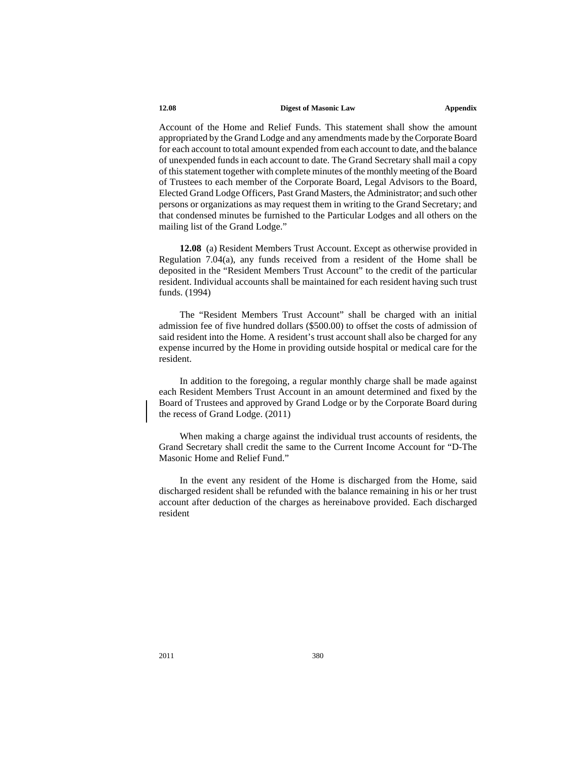#### **12.08 Digest of Masonic Law Appendix**

Account of the Home and Relief Funds. This statement shall show the amount appropriated by the Grand Lodge and any amendments made by the Corporate Board for each account to total amount expended from each account to date, and the balance of unexpended funds in each account to date. The Grand Secretary shall mail a copy of this statement together with complete minutes of the monthly meeting of the Board of Trustees to each member of the Corporate Board, Legal Advisors to the Board, Elected Grand Lodge Officers, Past Grand Masters, the Administrator; and such other persons or organizations as may request them in writing to the Grand Secretary; and that condensed minutes be furnished to the Particular Lodges and all others on the mailing list of the Grand Lodge."

**12.08** (a) Resident Members Trust Account. Except as otherwise provided in Regulation 7.04(a), any funds received from a resident of the Home shall be deposited in the "Resident Members Trust Account" to the credit of the particular resident. Individual accounts shall be maintained for each resident having such trust funds. (1994)

The "Resident Members Trust Account" shall be charged with an initial admission fee of five hundred dollars (\$500.00) to offset the costs of admission of said resident into the Home. A resident's trust account shall also be charged for any expense incurred by the Home in providing outside hospital or medical care for the resident.

In addition to the foregoing, a regular monthly charge shall be made against each Resident Members Trust Account in an amount determined and fixed by the Board of Trustees and approved by Grand Lodge or by the Corporate Board during the recess of Grand Lodge. (2011)

When making a charge against the individual trust accounts of residents, the Grand Secretary shall credit the same to the Current Income Account for "D-The Masonic Home and Relief Fund."

In the event any resident of the Home is discharged from the Home, said discharged resident shall be refunded with the balance remaining in his or her trust account after deduction of the charges as hereinabove provided. Each discharged resident

2011 380